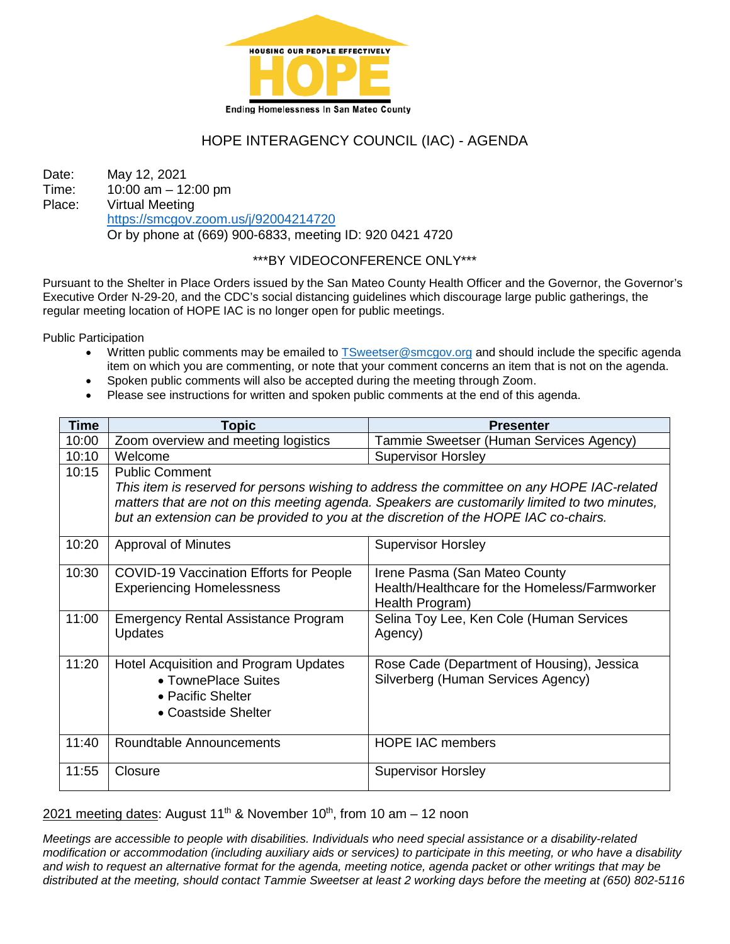

# HOPE INTERAGENCY COUNCIL (IAC) - AGENDA

Date: May 12, 2021 Time: 10:00 am – 12:00 pm Place: Virtual Meeting <https://smcgov.zoom.us/j/92004214720> Or by phone at (669) 900-6833, meeting ID: 920 0421 4720

## \*\*\*BY VIDEOCONFERENCE ONLY\*\*\*

Pursuant to the Shelter in Place Orders issued by the San Mateo County Health Officer and the Governor, the Governor's Executive Order N-29-20, and the CDC's social distancing guidelines which discourage large public gatherings, the regular meeting location of HOPE IAC is no longer open for public meetings.

Public Participation

- Written public comments may be emailed to [TSweetser@smcgov.org](mailto:TSweetser@smcgov.org) and should include the specific agenda item on which you are commenting, or note that your comment concerns an item that is not on the agenda.
- Spoken public comments will also be accepted during the meeting through Zoom.
- Please see instructions for written and spoken public comments at the end of this agenda.

| <b>Time</b> | <b>Topic</b>                                                                                                                                                                                                                                                                                                 | <b>Presenter</b>                                                                                  |
|-------------|--------------------------------------------------------------------------------------------------------------------------------------------------------------------------------------------------------------------------------------------------------------------------------------------------------------|---------------------------------------------------------------------------------------------------|
| 10:00       | Zoom overview and meeting logistics                                                                                                                                                                                                                                                                          | Tammie Sweetser (Human Services Agency)                                                           |
| 10:10       | Welcome                                                                                                                                                                                                                                                                                                      | <b>Supervisor Horsley</b>                                                                         |
| 10:15       | <b>Public Comment</b><br>This item is reserved for persons wishing to address the committee on any HOPE IAC-related<br>matters that are not on this meeting agenda. Speakers are customarily limited to two minutes,<br>but an extension can be provided to you at the discretion of the HOPE IAC co-chairs. |                                                                                                   |
|             |                                                                                                                                                                                                                                                                                                              |                                                                                                   |
| 10:20       | Approval of Minutes                                                                                                                                                                                                                                                                                          | <b>Supervisor Horsley</b>                                                                         |
| 10:30       | <b>COVID-19 Vaccination Efforts for People</b><br><b>Experiencing Homelessness</b>                                                                                                                                                                                                                           | Irene Pasma (San Mateo County<br>Health/Healthcare for the Homeless/Farmworker<br>Health Program) |
| 11:00       | <b>Emergency Rental Assistance Program</b><br><b>Updates</b>                                                                                                                                                                                                                                                 | Selina Toy Lee, Ken Cole (Human Services<br>Agency)                                               |
| 11:20       | Hotel Acquisition and Program Updates<br>• TownePlace Suites<br>• Pacific Shelter<br>• Coastside Shelter                                                                                                                                                                                                     | Rose Cade (Department of Housing), Jessica<br>Silverberg (Human Services Agency)                  |
| 11:40       | Roundtable Announcements                                                                                                                                                                                                                                                                                     | <b>HOPE IAC members</b>                                                                           |
| 11:55       | Closure                                                                                                                                                                                                                                                                                                      | <b>Supervisor Horsley</b>                                                                         |

2021 meeting dates: August 11<sup>th</sup> & November 10<sup>th</sup>, from 10 am  $-$  12 noon

*Meetings are accessible to people with disabilities. Individuals who need special assistance or a disability-related modification or accommodation (including auxiliary aids or services) to participate in this meeting, or who have a disability and wish to request an alternative format for the agenda, meeting notice, agenda packet or other writings that may be distributed at the meeting, should contact Tammie Sweetser at least 2 working days before the meeting at (650) 802-5116*